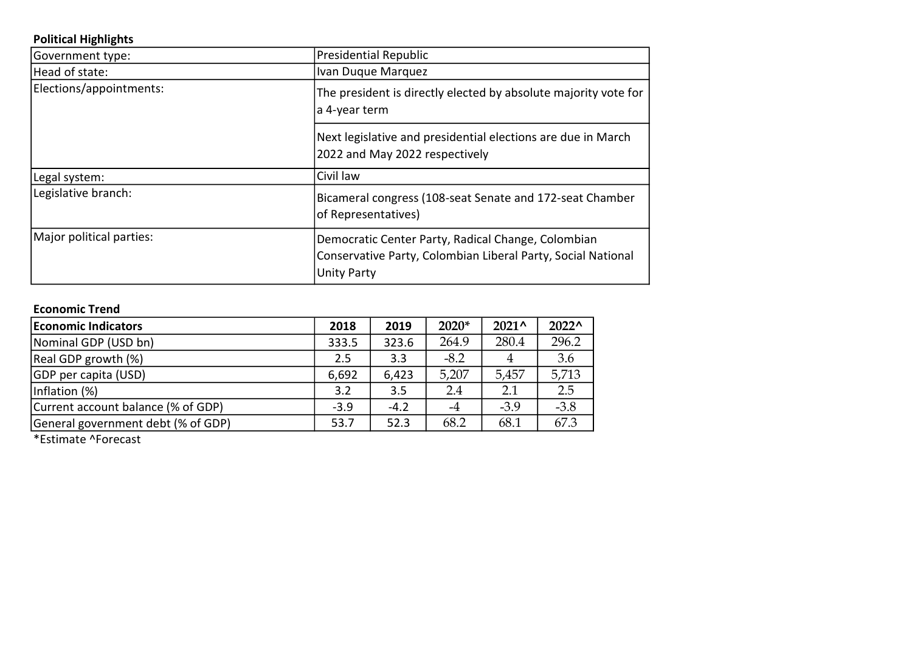## Political Highlights

| Government type:         | <b>Presidential Republic</b>                                                                                                             |  |
|--------------------------|------------------------------------------------------------------------------------------------------------------------------------------|--|
| Head of state:           | Ivan Duque Marquez                                                                                                                       |  |
| Elections/appointments:  | The president is directly elected by absolute majority vote for<br>a 4-year term                                                         |  |
|                          | Next legislative and presidential elections are due in March<br>2022 and May 2022 respectively                                           |  |
| Legal system:            | Civil law                                                                                                                                |  |
| Legislative branch:      | Bicameral congress (108-seat Senate and 172-seat Chamber<br>of Representatives)                                                          |  |
| Major political parties: | Democratic Center Party, Radical Change, Colombian<br>Conservative Party, Colombian Liberal Party, Social National<br><b>Unity Party</b> |  |

## Economic Trend

| <b>Economic Indicators</b>         | 2018   | 2019   | $2020*$ | $2021^{\circ}$ | $2022^{\circ}$ |
|------------------------------------|--------|--------|---------|----------------|----------------|
| Nominal GDP (USD bn)               | 333.5  | 323.6  | 264.9   | 280.4          | 296.2          |
| Real GDP growth (%)                | 2.5    | 3.3    | $-8.2$  | 4              | 3.6            |
| GDP per capita (USD)               | 6,692  | 6,423  | 5,207   | 5,457          | 5,713          |
| Inflation (%)                      | 3.2    | 3.5    | 2.4     | 2.1            | 2.5            |
| Current account balance (% of GDP) | $-3.9$ | $-4.2$ | -4      | $-3.9$         | $-3.8$         |
| General government debt (% of GDP) | 53.7   | 52.3   | 68.2    | 68.1           | 67.3           |

\*Estimate ^Forecast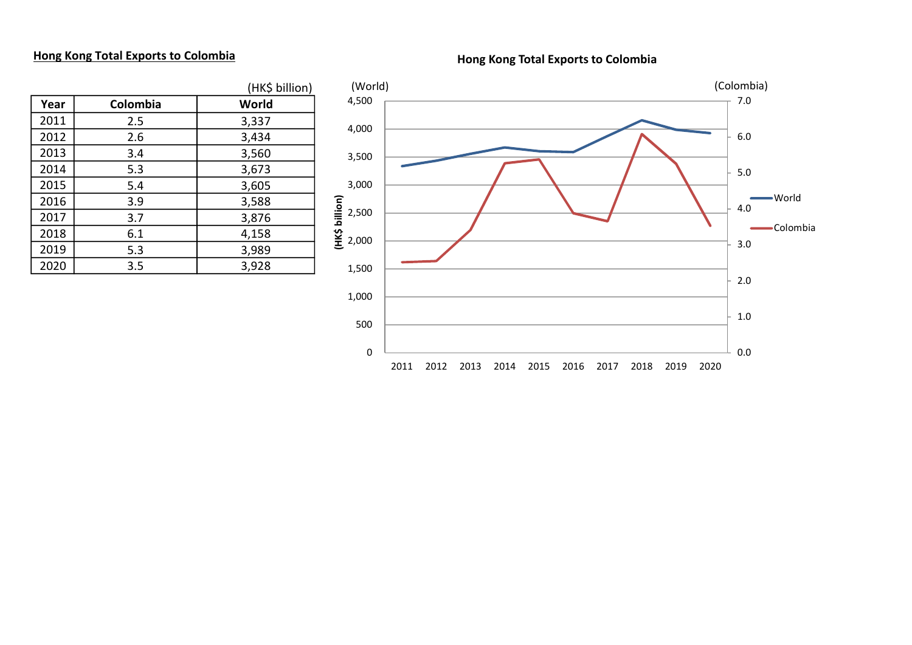## Hong Kong Total Exports to Colombia

Hong Kong Total Exports to Colombia